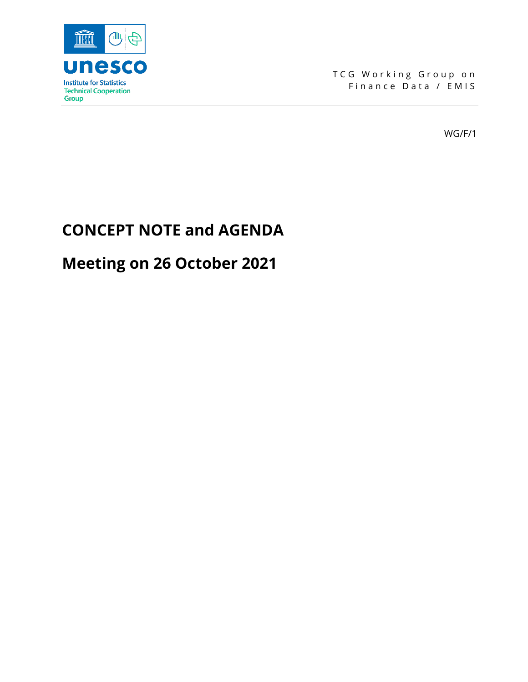

TCG Working Group on Finance Data / EMIS

WG/F/1

# **CONCEPT NOTE and AGENDA**

# **Meeting on 26 October 2021**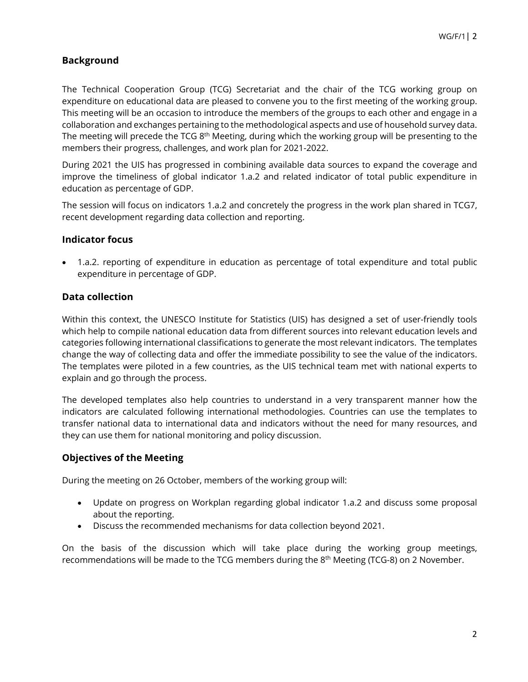## **Background**

The Technical Cooperation Group (TCG) Secretariat and the chair of the TCG working group on expenditure on educational data are pleased to convene you to the first meeting of the working group. This meeting will be an occasion to introduce the members of the groups to each other and engage in a collaboration and exchanges pertaining to the methodological aspects and use of household survey data. The meeting will precede the TCG 8<sup>th</sup> Meeting, during which the working group will be presenting to the members their progress, challenges, and work plan for 2021-2022.

During 2021 the UIS has progressed in combining available data sources to expand the coverage and improve the timeliness of global indicator 1.a.2 and related indicator of total public expenditure in education as percentage of GDP.

The session will focus on indicators 1.a.2 and concretely the progress in the work plan shared in TCG7, recent development regarding data collection and reporting.

#### **Indicator focus**

• 1.a.2. reporting of expenditure in education as percentage of total expenditure and total public expenditure in percentage of GDP.

### **Data collection**

Within this context, the UNESCO Institute for Statistics (UIS) has designed a set of user-friendly tools which help to compile national education data from different sources into relevant education levels and categories following international classifications to generate the most relevant indicators. The templates change the way of collecting data and offer the immediate possibility to see the value of the indicators. The templates were piloted in a few countries, as the UIS technical team met with national experts to explain and go through the process.

The developed templates also help countries to understand in a very transparent manner how the indicators are calculated following international methodologies. Countries can use the templates to transfer national data to international data and indicators without the need for many resources, and they can use them for national monitoring and policy discussion.

## **Objectives of the Meeting**

During the meeting on 26 October, members of the working group will:

- Update on progress on Workplan regarding global indicator 1.a.2 and discuss some proposal about the reporting.
- Discuss the recommended mechanisms for data collection beyond 2021.

On the basis of the discussion which will take place during the working group meetings, recommendations will be made to the TCG members during the 8<sup>th</sup> Meeting (TCG-8) on 2 November.